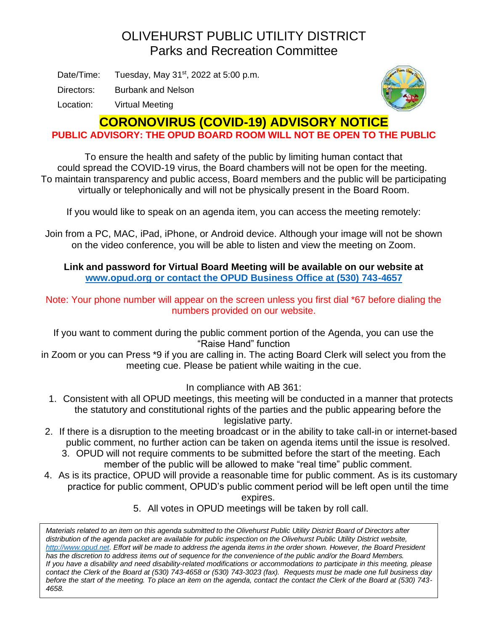## OLIVEHURST PUBLIC UTILITY DISTRICT Parks and Recreation Committee

Date/Time: Tuesday, May  $31<sup>st</sup>$ , 2022 at 5:00 p.m.

Directors: Burbank and Nelson

Location: Virtual Meeting



## **CORONOVIRUS (COVID-19) ADVISORY NOTICE**

**PUBLIC ADVISORY: THE OPUD BOARD ROOM WILL NOT BE OPEN TO THE PUBLIC**

To ensure the health and safety of the public by limiting human contact that could spread the COVID-19 virus, the Board chambers will not be open for the meeting. To maintain transparency and public access, Board members and the public will be participating virtually or telephonically and will not be physically present in the Board Room.

If you would like to speak on an agenda item, you can access the meeting remotely:

Join from a PC, MAC, iPad, iPhone, or Android device. Although your image will not be shown on the video conference, you will be able to listen and view the meeting on Zoom.

**Link and password for Virtual Board Meeting will be available on our website at [www.opud.org](http://www.opud.org/) or contact the OPUD Business Office at (530) 743-4657**

Note: Your phone number will appear on the screen unless you first dial \*67 before dialing the numbers provided on our website.

If you want to comment during the public comment portion of the Agenda, you can use the "Raise Hand" function

in Zoom or you can Press \*9 if you are calling in. The acting Board Clerk will select you from the meeting cue. Please be patient while waiting in the cue.

In compliance with AB 361:

- 1. Consistent with all OPUD meetings, this meeting will be conducted in a manner that protects the statutory and constitutional rights of the parties and the public appearing before the legislative party.
- 2. If there is a disruption to the meeting broadcast or in the ability to take call-in or internet-based public comment, no further action can be taken on agenda items until the issue is resolved.
	- 3. OPUD will not require comments to be submitted before the start of the meeting. Each member of the public will be allowed to make "real time" public comment.
- 4. As is its practice, OPUD will provide a reasonable time for public comment. As is its customary practice for public comment, OPUD's public comment period will be left open until the time

expires.

5. All votes in OPUD meetings will be taken by roll call.

*Materials related to an item on this agenda submitted to the Olivehurst Public Utility District Board of Directors after distribution of the agenda packet are available for public inspection on the Olivehurst Public Utility District website, [http://www.opud.net.](http://www.opud.net/) Effort will be made to address the agenda items in the order shown. However, the Board President has the discretion to address items out of sequence for the convenience of the public and/or the Board Members. If you have a disability and need disability-related modifications or accommodations to participate in this meeting, please contact the Clerk of the Board at (530) 743-4658 or (530) 743-3023 (fax). Requests must be made one full business day before the start of the meeting. To place an item on the agenda, contact the contact the Clerk of the Board at (530) 743- 4658.*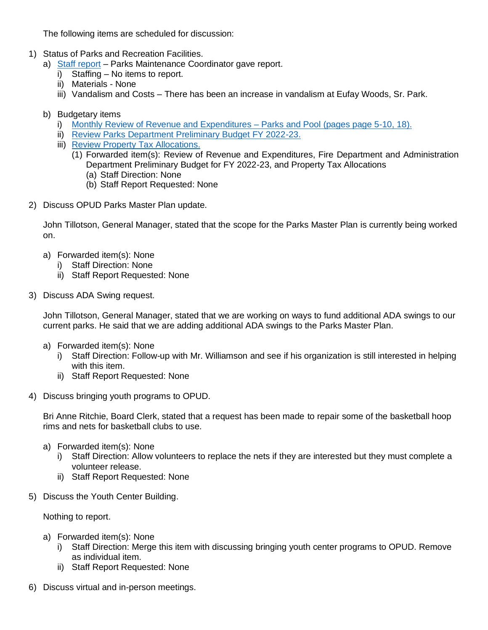The following items are scheduled for discussion:

- 1) Status of Parks and Recreation Facilities.
	- a) [Staff report](https://www.opud.org/files/3abfb8464/PK_Item_1a-Parks_Dept_Report_May_2022.pdf) Parks Maintenance Coordinator gave report.
		- i) Staffing No items to report.
		- ii) Materials None
		- iii) Vandalism and Costs There has been an increase in vandalism at Eufay Woods, Sr. Park.
	- b) Budgetary items
		- i) [Monthly Review of Revenue and Expenditures](https://www.opud.org/files/fbad82a03/All_Agendas-Revenue_and_Expenditures_FY_2021-22.pdf) Parks and Pool (pages page 5-10, 18).
		- ii) [Review Parks Department Preliminary Budget FY 2022-23.](https://www.opud.org/files/4fb171f15/PK_Item_1bii-Parks_Dept_Preliminary_Budget_FY_2022-23.pdf)
		- iii) [Review Property Tax Allocations.](https://www.opud.org/files/c8999e21b/PK_Item_1biii-Property_Tax_Allocations_General_Fund.pdf)
			- (1) Forwarded item(s): Review of Revenue and Expenditures, Fire Department and Administration Department Preliminary Budget for FY 2022-23, and Property Tax Allocations
				- (a) Staff Direction: None
				- (b) Staff Report Requested: None
- 2) Discuss OPUD Parks Master Plan update.

John Tillotson, General Manager, stated that the scope for the Parks Master Plan is currently being worked on.

- a) Forwarded item(s): None
	- i) Staff Direction: None
	- ii) Staff Report Requested: None
- 3) Discuss ADA Swing request.

John Tillotson, General Manager, stated that we are working on ways to fund additional ADA swings to our current parks. He said that we are adding additional ADA swings to the Parks Master Plan.

- a) Forwarded item(s): None
	- i) Staff Direction: Follow-up with Mr. Williamson and see if his organization is still interested in helping with this item.
	- ii) Staff Report Requested: None
- 4) Discuss bringing youth programs to OPUD.

Bri Anne Ritchie, Board Clerk, stated that a request has been made to repair some of the basketball hoop rims and nets for basketball clubs to use.

- a) Forwarded item(s): None
	- i) Staff Direction: Allow volunteers to replace the nets if they are interested but they must complete a volunteer release.
	- ii) Staff Report Requested: None
- 5) Discuss the Youth Center Building.

Nothing to report.

- a) Forwarded item(s): None
	- i) Staff Direction: Merge this item with discussing bringing youth center programs to OPUD. Remove as individual item.
	- ii) Staff Report Requested: None
- 6) Discuss virtual and in-person meetings.